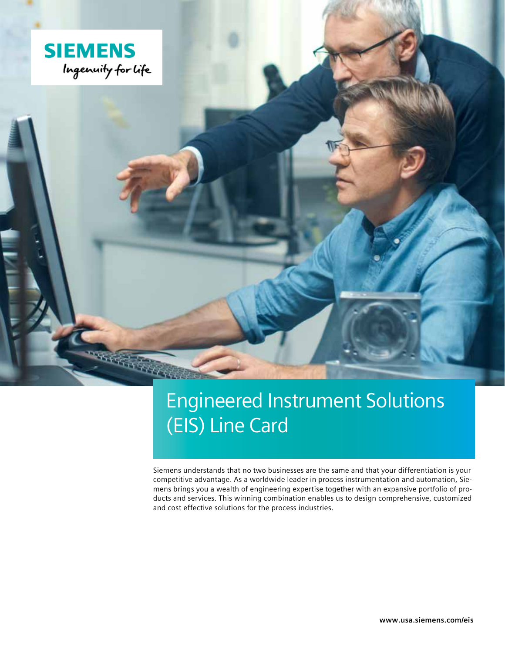

# Engineered Instrument Solutions (EIS) Line Card

Siemens understands that no two businesses are the same and that your differentiation is your competitive advantage. As a worldwide leader in process instrumentation and automation, Siemens brings you a wealth of engineering expertise together with an expansive portfolio of products and services. This winning combination enables us to design comprehensive, customized and cost effective solutions for the process industries.